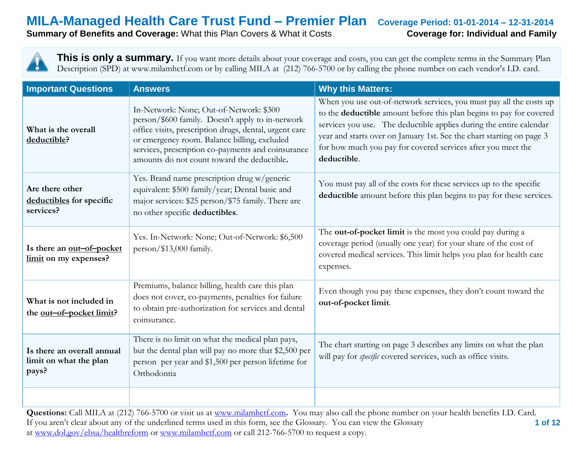**Summary of Benefits and Coverage:** What this Plan Covers & What it Costs **Coverage for: Individual and Family** 

**This is only a summary.** If you want more details about your coverage and costs, you can get the complete terms in the Summary Plan Description (SPD) at www.milamhctf.com or by calling MILA at (212) 766-5700 or by calling the phone number on each vendor's I.D. card.

| <b>Important Questions</b>                                    | <b>Answers</b>                                                                                                                                                                                                                                                                                             | <b>Why this Matters:</b>                                                                                                                                                                                                                                                                                                                                                  |
|---------------------------------------------------------------|------------------------------------------------------------------------------------------------------------------------------------------------------------------------------------------------------------------------------------------------------------------------------------------------------------|---------------------------------------------------------------------------------------------------------------------------------------------------------------------------------------------------------------------------------------------------------------------------------------------------------------------------------------------------------------------------|
| What is the overall<br>deductible?                            | In-Network: None; Out-of-Network: \$300<br>person/\$600 family. Doesn't apply to in-network<br>office visits, prescription drugs, dental, urgent care<br>or emergency room. Balance billing, excluded<br>services, prescription co-payments and coinsurance<br>amounts do not count toward the deductible. | When you use out-of-network services, you must pay all the costs up<br>to the deductible amount before this plan begins to pay for covered<br>services you use. The deductible applies during the entire calendar<br>year and starts over on January 1st. See the chart starting on page 3<br>for how much you pay for covered services after you meet the<br>deductible. |
| Are there other<br>deductibles for specific<br>services?      | Yes. Brand name prescription drug w/generic<br>equivalent: \$500 family/year; Dental basic and<br>major services: \$25 person/\$75 family. There are<br>no other specific deductibles.                                                                                                                     | You must pay all of the costs for these services up to the specific<br>deductible amount before this plan begins to pay for these services.                                                                                                                                                                                                                               |
| Is there an out-of-pocket<br>limit on my expenses?            | Yes. In-Network: None; Out-of-Network: \$6,500<br>person/\$13,000 family.                                                                                                                                                                                                                                  | The <b>out-of-pocket limit</b> is the most you could pay during a<br>coverage period (usually one year) for your share of the cost of<br>covered medical services. This limit helps you plan for health care<br>expenses.                                                                                                                                                 |
| What is not included in<br>the <u>out-of-pocket limit</u> ?   | Premiums, balance billing, health care this plan<br>does not cover, co-payments, penalties for failure<br>to obtain pre-authorization for services and dental<br>coinsurance.                                                                                                                              | Even though you pay these expenses, they don't count toward the<br>out-of-pocket limit.                                                                                                                                                                                                                                                                                   |
| Is there an overall annual<br>limit on what the plan<br>pays? | There is no limit on what the medical plan pays,<br>but the dental plan will pay no more that \$2,500 per<br>person per year and \$1,500 per person lifetime for<br>Orthodontia                                                                                                                            | The chart starting on page 3 describes any limits on what the plan<br>will pay for <i>specific</i> covered services, such as office visits.                                                                                                                                                                                                                               |
|                                                               |                                                                                                                                                                                                                                                                                                            |                                                                                                                                                                                                                                                                                                                                                                           |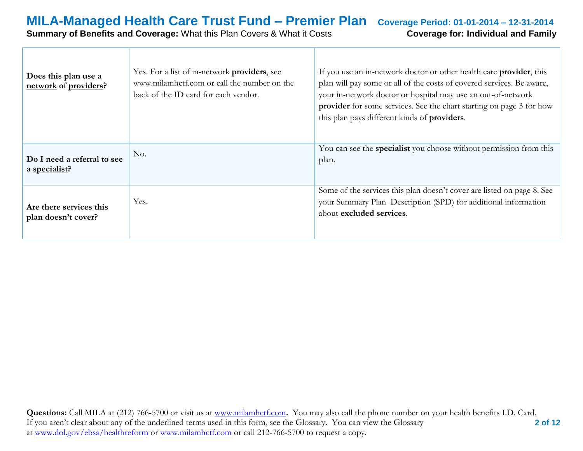### **MILA-Managed Health Care Trust Fund – Premier Plan Coverage Period: 01-01-2014 – 12-31-2014 Summary of Benefits and Coverage:** What this Plan Covers & What it Costs **Coverage for: Individual and Family**

| Does this plan use a<br>network of providers?  | Yes. For a list of in-network <b>providers</b> , see<br>www.milamhctf.com or call the number on the<br>back of the ID card for each vendor. | If you use an in-network doctor or other health care <b>provider</b> , this<br>plan will pay some or all of the costs of covered services. Be aware,<br>your in-network doctor or hospital may use an out-of-network<br>provider for some services. See the chart starting on page 3 for how<br>this plan pays different kinds of <b>providers</b> . |
|------------------------------------------------|---------------------------------------------------------------------------------------------------------------------------------------------|------------------------------------------------------------------------------------------------------------------------------------------------------------------------------------------------------------------------------------------------------------------------------------------------------------------------------------------------------|
| Do I need a referral to see<br>a specialist?   | No.                                                                                                                                         | You can see the specialist you choose without permission from this<br>plan.                                                                                                                                                                                                                                                                          |
| Are there services this<br>plan doesn't cover? | Yes.                                                                                                                                        | Some of the services this plan doesn't cover are listed on page 8. See<br>your Summary Plan Description (SPD) for additional information<br>about excluded services.                                                                                                                                                                                 |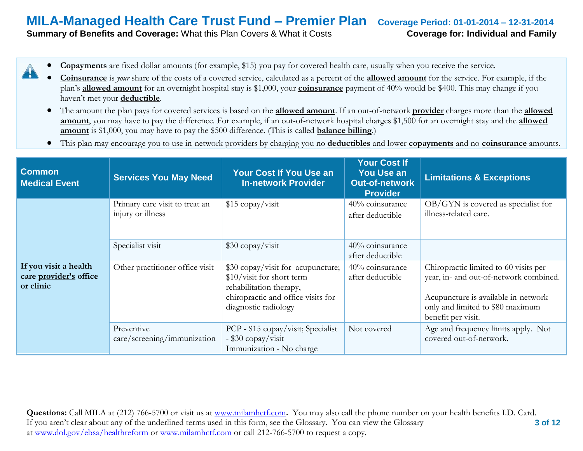**Summary of Benefits and Coverage:** What this Plan Covers & What it Costs **Coverage for: Individual and Family** 

- **Copayments** are fixed dollar amounts (for example, \$15) you pay for covered health care, usually when you receive the service.
- **Coinsurance** is *your* share of the costs of a covered service, calculated as a percent of the **allowed amount** for the service. For example, if the plan's **allowed amount** for an overnight hospital stay is \$1,000, your **coinsurance** payment of 40% would be \$400. This may change if you haven't met your **deductible**.
- The amount the plan pays for covered services is based on the **allowed amount**. If an out-of-network **provider** charges more than the **allowed amount**, you may have to pay the difference. For example, if an out-of-network hospital charges \$1,500 for an overnight stay and the **allowed amount** is \$1,000, you may have to pay the \$500 difference. (This is called **balance billing**.)
- This plan may encourage you to use in-network providers by charging you no **deductibles** and lower **copayments** and no **coinsurance** amounts.

| <b>Common</b><br><b>Medical Event</b>                        | <b>Services You May Need</b>                        | Your Cost If You Use an<br><b>In-network Provider</b>                                                                                                   | <b>Your Cost If</b><br><b>You Use an</b><br><b>Out-of-network</b><br><b>Provider</b> | <b>Limitations &amp; Exceptions</b>                                                                                                                                              |
|--------------------------------------------------------------|-----------------------------------------------------|---------------------------------------------------------------------------------------------------------------------------------------------------------|--------------------------------------------------------------------------------------|----------------------------------------------------------------------------------------------------------------------------------------------------------------------------------|
|                                                              | Primary care visit to treat an<br>injury or illness | \$15 copay/visit                                                                                                                                        | 40% coinsurance<br>after deductible                                                  | $OB/GYN$ is covered as specialist for<br>illness-related care.                                                                                                                   |
|                                                              | Specialist visit                                    | $$30$ copay/visit                                                                                                                                       | 40% coinsurance<br>after deductible                                                  |                                                                                                                                                                                  |
| If you visit a health<br>care provider's office<br>or clinic | Other practitioner office visit                     | \$30 copay/visit for acupuncture;<br>\$10/visit for short term<br>rehabilitation therapy,<br>chiropractic and office visits for<br>diagnostic radiology | 40% coinsurance<br>after deductible                                                  | Chiropractic limited to 60 visits per<br>year, in- and out-of-network combined.<br>Acupuncture is available in-network<br>only and limited to \$80 maximum<br>benefit per visit. |
|                                                              | Preventive<br>care/screening/immunization           | PCP - \$15 copay/visit; Specialist<br>- \$30 copay/visit<br>Immunization - No charge                                                                    | Not covered                                                                          | Age and frequency limits apply. Not<br>covered out-of-network.                                                                                                                   |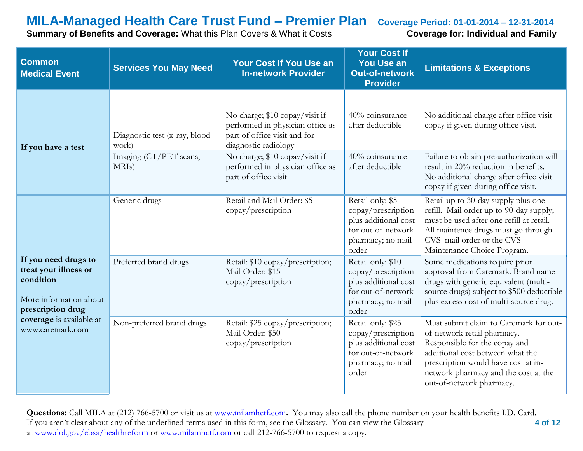**Summary of Benefits and Coverage:** What this Plan Covers & What it Costs **Coverage for: Individual and Family** 

| <b>Common</b><br><b>Medical Event</b>                                                                     | <b>Services You May Need</b>                 | <b>Your Cost If You Use an</b><br><b>In-network Provider</b>                                                               | <b>Your Cost If</b><br><b>You Use an</b><br>Out-of-network<br><b>Provider</b>                                       | <b>Limitations &amp; Exceptions</b>                                                                                                                                                                                                                   |
|-----------------------------------------------------------------------------------------------------------|----------------------------------------------|----------------------------------------------------------------------------------------------------------------------------|---------------------------------------------------------------------------------------------------------------------|-------------------------------------------------------------------------------------------------------------------------------------------------------------------------------------------------------------------------------------------------------|
| If you have a test                                                                                        | Diagnostic test (x-ray, blood<br>work)       | No charge; \$10 copay/visit if<br>performed in physician office as<br>part of office visit and for<br>diagnostic radiology | 40% coinsurance<br>after deductible                                                                                 | No additional charge after office visit<br>copay if given during office visit.                                                                                                                                                                        |
|                                                                                                           | Imaging (CT/PET scans,<br>MRI <sub>s</sub> ) | No charge; \$10 copay/visit if<br>performed in physician office as<br>part of office visit                                 | 40% coinsurance<br>after deductible                                                                                 | Failure to obtain pre-authorization will<br>result in 20% reduction in benefits.<br>No additional charge after office visit<br>copay if given during office visit.                                                                                    |
|                                                                                                           | Generic drugs                                | Retail and Mail Order: \$5<br>copay/prescription                                                                           | Retail only: \$5<br>copay/prescription<br>plus additional cost<br>for out-of-network<br>pharmacy; no mail<br>order  | Retail up to 30-day supply plus one<br>refill. Mail order up to 90-day supply;<br>must be used after one refill at retail.<br>All maintence drugs must go through<br>CVS mail order or the CVS<br>Maintenance Choice Program.                         |
| If you need drugs to<br>treat your illness or<br>condition<br>More information about<br>prescription drug | Preferred brand drugs                        | Retail: \$10 copay/prescription;<br>Mail Order: \$15<br>copay/prescription                                                 | Retail only: \$10<br>copay/prescription<br>plus additional cost<br>for out-of-network<br>pharmacy; no mail<br>order | Some medications require prior<br>approval from Caremark. Brand name<br>drugs with generic equivalent (multi-<br>source drugs) subject to \$500 deductible<br>plus excess cost of multi-source drug.                                                  |
| coverage is available at<br>www.caremark.com                                                              | Non-preferred brand drugs                    | Retail: \$25 copay/prescription;<br>Mail Order: \$50<br>copay/prescription                                                 | Retail only: \$25<br>copay/prescription<br>plus additional cost<br>for out-of-network<br>pharmacy; no mail<br>order | Must submit claim to Caremark for out-<br>of-network retail pharmacy.<br>Responsible for the copay and<br>additional cost between what the<br>prescription would have cost at in-<br>network pharmacy and the cost at the<br>out-of-network pharmacy. |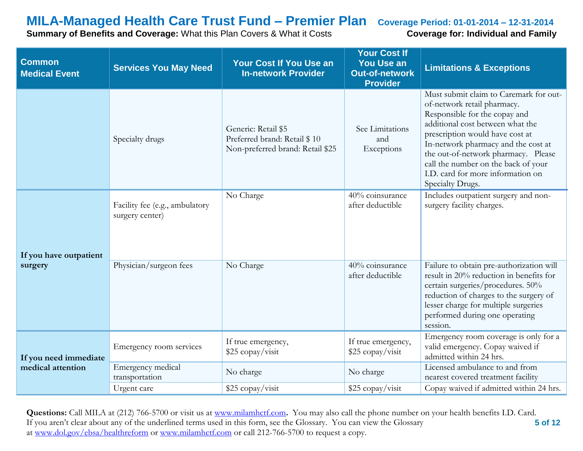**Summary of Benefits and Coverage:** What this Plan Covers & What it Costs **Coverage for: Individual and Family** 

| <b>Common</b><br><b>Medical Event</b> | <b>Services You May Need</b>                      | <b>Your Cost If You Use an</b><br><b>In-network Provider</b>                            | <b>Your Cost If</b><br><b>You Use an</b><br><b>Out-of-network</b><br><b>Provider</b> | <b>Limitations &amp; Exceptions</b>                                                                                                                                                                                                                                                                                                                         |
|---------------------------------------|---------------------------------------------------|-----------------------------------------------------------------------------------------|--------------------------------------------------------------------------------------|-------------------------------------------------------------------------------------------------------------------------------------------------------------------------------------------------------------------------------------------------------------------------------------------------------------------------------------------------------------|
|                                       | Specialty drugs                                   | Generic: Retail \$5<br>Preferred brand: Retail \$10<br>Non-preferred brand: Retail \$25 | See Limitations<br>and<br>Exceptions                                                 | Must submit claim to Caremark for out-<br>of-network retail pharmacy.<br>Responsible for the copay and<br>additional cost between what the<br>prescription would have cost at<br>In-network pharmacy and the cost at<br>the out-of-network pharmacy. Please<br>call the number on the back of your<br>I.D. card for more information on<br>Specialty Drugs. |
| If you have outpatient                | Facility fee (e.g., ambulatory<br>surgery center) | No Charge                                                                               | 40% coinsurance<br>after deductible                                                  | Includes outpatient surgery and non-<br>surgery facility charges.                                                                                                                                                                                                                                                                                           |
| surgery                               | Physician/surgeon fees                            | No Charge                                                                               | 40% coinsurance<br>after deductible                                                  | Failure to obtain pre-authorization will<br>result in 20% reduction in benefits for<br>certain surgeries/procedures. 50%<br>reduction of charges to the surgery of<br>lesser charge for multiple surgeries<br>performed during one operating<br>session.                                                                                                    |
| If you need immediate                 | Emergency room services                           | If true emergency,<br>\$25 copay/visit                                                  | If true emergency,<br>\$25 copay/visit                                               | Emergency room coverage is only for a<br>valid emergency. Copay waived if<br>admitted within 24 hrs.                                                                                                                                                                                                                                                        |
| medical attention                     | Emergency medical<br>transportation               | No charge                                                                               | No charge                                                                            | Licensed ambulance to and from<br>nearest covered treatment facility                                                                                                                                                                                                                                                                                        |
|                                       | Urgent care                                       | \$25 copay/visit                                                                        | \$25 copay/visit                                                                     | Copay waived if admitted within 24 hrs.                                                                                                                                                                                                                                                                                                                     |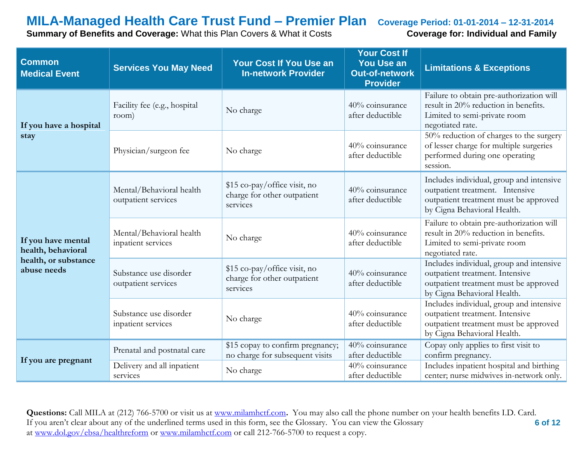**Summary of Benefits and Coverage:** What this Plan Covers & What it Costs **Coverage for: Individual and Family** 

| <b>Common</b><br><b>Medical Event</b>    | <b>Services You May Need</b>                    | <b>Your Cost If You Use an</b><br><b>In-network Provider</b>            | <b>Your Cost If</b><br><b>You Use an</b><br><b>Out-of-network</b><br><b>Provider</b> | <b>Limitations &amp; Exceptions</b>                                                                                                                 |
|------------------------------------------|-------------------------------------------------|-------------------------------------------------------------------------|--------------------------------------------------------------------------------------|-----------------------------------------------------------------------------------------------------------------------------------------------------|
| If you have a hospital                   | Facility fee (e.g., hospital<br>room)           | No charge                                                               | 40% coinsurance<br>after deductible                                                  | Failure to obtain pre-authorization will<br>result in 20% reduction in benefits.<br>Limited to semi-private room<br>negotiated rate.                |
| stay                                     | Physician/surgeon fee                           | No charge                                                               | 40% coinsurance<br>after deductible                                                  | 50% reduction of charges to the surgery<br>of lesser charge for multiple surgeries<br>performed during one operating<br>session.                    |
|                                          | Mental/Behavioral health<br>outpatient services | \$15 co-pay/office visit, no<br>charge for other outpatient<br>services | 40% coinsurance<br>after deductible                                                  | Includes individual, group and intensive<br>outpatient treatment. Intensive<br>outpatient treatment must be approved<br>by Cigna Behavioral Health. |
| If you have mental<br>health, behavioral | Mental/Behavioral health<br>inpatient services  | No charge                                                               | 40% coinsurance<br>after deductible                                                  | Failure to obtain pre-authorization will<br>result in 20% reduction in benefits.<br>Limited to semi-private room<br>negotiated rate.                |
| health, or substance<br>abuse needs      | Substance use disorder<br>outpatient services   | \$15 co-pay/office visit, no<br>charge for other outpatient<br>services | 40% coinsurance<br>after deductible                                                  | Includes individual, group and intensive<br>outpatient treatment. Intensive<br>outpatient treatment must be approved<br>by Cigna Behavioral Health. |
|                                          | Substance use disorder<br>inpatient services    | No charge                                                               | 40% coinsurance<br>after deductible                                                  | Includes individual, group and intensive<br>outpatient treatment. Intensive<br>outpatient treatment must be approved<br>by Cigna Behavioral Health. |
|                                          | Prenatal and postnatal care                     | \$15 copay to confirm pregnancy;<br>no charge for subsequent visits     | 40% coinsurance<br>after deductible                                                  | Copay only applies to first visit to<br>confirm pregnancy.                                                                                          |
| If you are pregnant                      | Delivery and all inpatient<br>services          | No charge                                                               | 40% coinsurance<br>after deductible                                                  | Includes inpatient hospital and birthing<br>center; nurse midwives in-network only.                                                                 |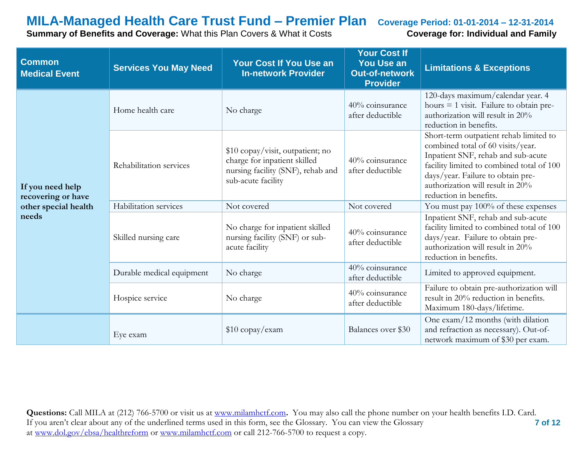**Summary of Benefits and Coverage:** What this Plan Covers & What it Costs **Coverage for: Individual and Family** 

| <b>Common</b><br><b>Medical Event</b>  | <b>Services You May Need</b> | <b>Your Cost If You Use an</b><br><b>In-network Provider</b>                                                                | <b>Your Cost If</b><br><b>You Use an</b><br><b>Out-of-network</b><br><b>Provider</b> | <b>Limitations &amp; Exceptions</b>                                                                                                                                                                                                                               |
|----------------------------------------|------------------------------|-----------------------------------------------------------------------------------------------------------------------------|--------------------------------------------------------------------------------------|-------------------------------------------------------------------------------------------------------------------------------------------------------------------------------------------------------------------------------------------------------------------|
|                                        | Home health care             | No charge                                                                                                                   | 40% coinsurance<br>after deductible                                                  | 120-days maximum/calendar year. 4<br>hours $=$ 1 visit. Failure to obtain pre-<br>authorization will result in 20%<br>reduction in benefits.                                                                                                                      |
| If you need help<br>recovering or have | Rehabilitation services      | \$10 copay/visit, outpatient; no<br>charge for inpatient skilled<br>nursing facility (SNF), rehab and<br>sub-acute facility | 40% coinsurance<br>after deductible                                                  | Short-term outpatient rehab limited to<br>combined total of 60 visits/year.<br>Inpatient SNF, rehab and sub-acute<br>facility limited to combined total of 100<br>days/year. Failure to obtain pre-<br>authorization will result in 20%<br>reduction in benefits. |
| other special health                   | Habilitation services        | Not covered                                                                                                                 | Not covered                                                                          | You must pay 100% of these expenses                                                                                                                                                                                                                               |
| needs                                  | Skilled nursing care         | No charge for inpatient skilled<br>nursing facility (SNF) or sub-<br>acute facility                                         | 40% coinsurance<br>after deductible                                                  | Inpatient SNF, rehab and sub-acute<br>facility limited to combined total of 100<br>days/year. Failure to obtain pre-<br>authorization will result in 20%<br>reduction in benefits.                                                                                |
|                                        | Durable medical equipment    | No charge                                                                                                                   | 40% coinsurance<br>after deductible                                                  | Limited to approved equipment.                                                                                                                                                                                                                                    |
|                                        | Hospice service              | No charge                                                                                                                   | 40% coinsurance<br>after deductible                                                  | Failure to obtain pre-authorization will<br>result in 20% reduction in benefits.<br>Maximum 180-days/lifetime.                                                                                                                                                    |
|                                        | Eye exam                     | \$10 copay/exam                                                                                                             | Balances over \$30                                                                   | One exam/12 months (with dilation<br>and refraction as necessary). Out-of-<br>network maximum of \$30 per exam.                                                                                                                                                   |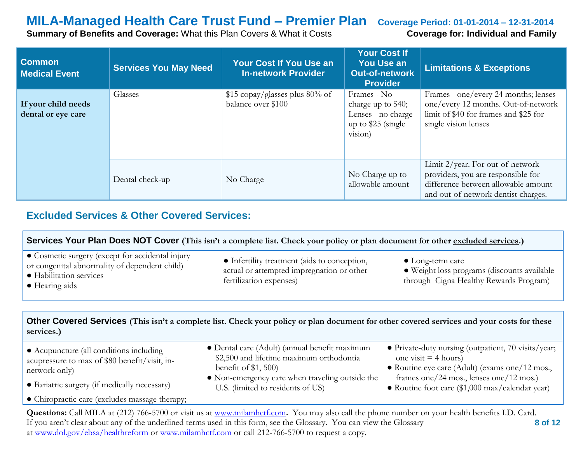**Summary of Benefits and Coverage:** What this Plan Covers & What it Costs **Coverage for: Individual and Family** 

| <b>Common</b><br><b>Medical Event</b>     | <b>Services You May Need</b> | <b>Your Cost If You Use an</b><br><b>In-network Provider</b> | <b>Your Cost If</b><br><b>You Use an</b><br><b>Out-of-network</b><br><b>Provider</b>      | <b>Limitations &amp; Exceptions</b>                                                                                                                  |
|-------------------------------------------|------------------------------|--------------------------------------------------------------|-------------------------------------------------------------------------------------------|------------------------------------------------------------------------------------------------------------------------------------------------------|
| If your child needs<br>dental or eye care | Glasses                      | \$15 copay/glasses plus 80% of<br>balance over \$100         | Frames - No<br>charge up to \$40;<br>Lenses - no charge<br>up to $$25$ (single<br>vision) | Frames - one/every 24 months; lenses -<br>one/every 12 months. Out-of-network<br>limit of \$40 for frames and \$25 for<br>single vision lenses       |
|                                           | Dental check-up              | No Charge                                                    | No Charge up to<br>allowable amount                                                       | Limit 2/year. For out-of-network<br>providers, you are responsible for<br>difference between allowable amount<br>and out-of-network dentist charges. |

### **Excluded Services & Other Covered Services:**

| Services Your Plan Does NOT Cover (This isn't a complete list. Check your policy or plan document for other excluded services.)                |                                                                                                                                            |                                                                                                                                 |  |  |
|------------------------------------------------------------------------------------------------------------------------------------------------|--------------------------------------------------------------------------------------------------------------------------------------------|---------------------------------------------------------------------------------------------------------------------------------|--|--|
| • Cosmetic surgery (except for accidental injury<br>or congenital abnormality of dependent child)<br>• Habilitation services<br>• Hearing aids | • Infertility treatment (aids to conception,<br>actual or attempted impregnation or other<br>fertilization expenses)                       | $\bullet$ Long-term care<br>· Weight loss programs (discounts available<br>through Cigna Healthy Rewards Program)               |  |  |
|                                                                                                                                                |                                                                                                                                            |                                                                                                                                 |  |  |
| services.)                                                                                                                                     | Other Covered Services (This isn't a complete list. Check your policy or plan document for other covered services and your costs for these |                                                                                                                                 |  |  |
| • Acupuncture (all conditions including<br>acupressure to max of \$80 benefit/visit, in-                                                       | • Dental care (Adult) (annual benefit maximum<br>\$2,500 and lifetime maximum orthodontia<br>benefit of $$1, 500$                          | • Private-duty nursing (outpatient, 70 visits/year;<br>one visit $=$ 4 hours)<br>• Routine eye care (Adult) (exams one/12 mos., |  |  |
| network only)                                                                                                                                  | • Non-emergency care when traveling outside the                                                                                            | frames one/24 mos., lenses one/12 mos.)                                                                                         |  |  |
|                                                                                                                                                |                                                                                                                                            |                                                                                                                                 |  |  |
| • Bariatric surgery (if medically necessary)                                                                                                   | U.S. (limited to residents of US)                                                                                                          | • Routine foot care (\$1,000 max/calendar year)                                                                                 |  |  |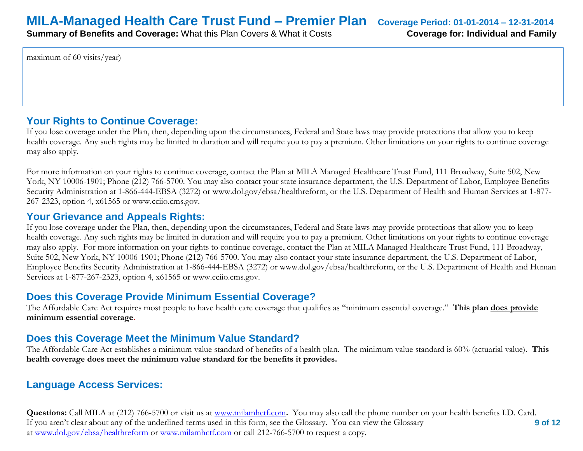maximum of 60 visits/year)

#### **Your Rights to Continue Coverage:**

If you lose coverage under the Plan, then, depending upon the circumstances, Federal and State laws may provide protections that allow you to keep health coverage. Any such rights may be limited in duration and will require you to pay a premium. Other limitations on your rights to continue coverage may also apply.

For more information on your rights to continue coverage, contact the Plan at MILA Managed Healthcare Trust Fund, 111 Broadway, Suite 502, New York, NY 10006-1901; Phone (212) 766-5700. You may also contact your state insurance department, the U.S. Department of Labor, Employee Benefits Security Administration at 1-866-444-EBSA (3272) or www.dol.gov/ebsa/healthreform, or the U.S. Department of Health and Human Services at 1-877- 267-2323, option 4, x61565 or www.cciio.cms.gov.

#### **Your Grievance and Appeals Rights:**

If you lose coverage under the Plan, then, depending upon the circumstances, Federal and State laws may provide protections that allow you to keep health coverage. Any such rights may be limited in duration and will require you to pay a premium. Other limitations on your rights to continue coverage may also apply. For more information on your rights to continue coverage, contact the Plan at MILA Managed Healthcare Trust Fund, 111 Broadway, Suite 502, New York, NY 10006-1901; Phone (212) 766-5700. You may also contact your state insurance department, the U.S. Department of Labor, Employee Benefits Security Administration at 1-866-444-EBSA (3272) or www.dol.gov/ebsa/healthreform, or the U.S. Department of Health and Human Services at 1-877-267-2323, option 4, x61565 or www.cciio.cms.gov.

### **Does this Coverage Provide Minimum Essential Coverage?**

The Affordable Care Act requires most people to have health care coverage that qualifies as "minimum essential coverage." **This plan does provide minimum essential coverage.** 

### **Does this Coverage Meet the Minimum Value Standard?**

The Affordable Care Act establishes a minimum value standard of benefits of a health plan. The minimum value standard is 60% (actuarial value). **This health coverage does meet the minimum value standard for the benefits it provides.** 

### **Language Access Services:**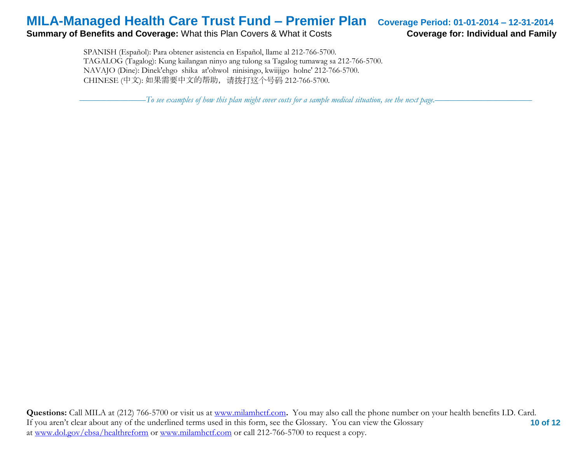#### **Summary of Benefits and Coverage:** What this Plan Covers & What it Costs **Coverage for: Individual and Family**

 SPANISH (Español): Para obtener asistencia en Español, llame al 212-766-5700. TAGALOG (Tagalog): Kung kailangan ninyo ang tulong sa Tagalog tumawag sa 212-766-5700. NAVAJO (Dine): Dinek'ehgo shika at'ohwol ninisingo, kwiijigo holne' 212-766-5700. CHINESE (中文): 如果需要中文的帮助,请拨打这个号码 212-766-5700.

–––––––––––––––*To see examples of how this plan might cover costs for a sample medical situation, see the next page.–––––––––––*–––––––––––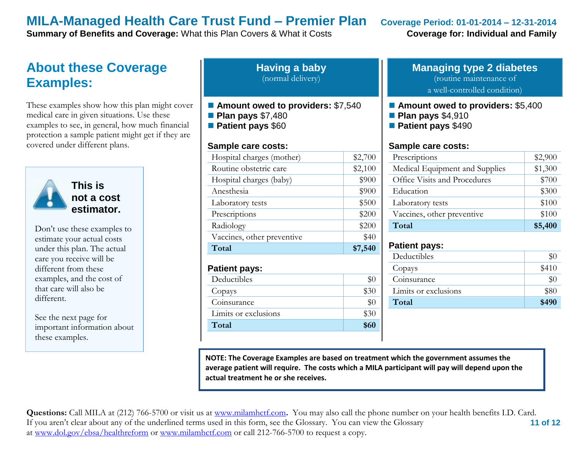**Summary of Benefits and Coverage:** What this Plan Covers & What it Costs **Coverage for: Individual and Family** 

## **About these Coverage Examples:**

These examples show how this plan might cover medical care in given situations. Use these examples to see, in general, how much financial protection a sample patient might get if they are covered under different plans.



**This is not a cost estimator.** 

Don't use these examples to estimate your actual costs under this plan. The actual care you receive will be different from these examples, and the cost of that care will also be different.

See the next page for important information about these examples.

| <b>Having a baby</b> |
|----------------------|
| (normal delivery)    |

- Amount owed to providers: \$7,540
- **Plan pays** \$7,480
- **Patient pays** \$60

#### **Sample care costs:**

| Total                      | \$7,540 |
|----------------------------|---------|
| Vaccines, other preventive | \$40    |
| Radiology                  | \$200   |
| Prescriptions              | \$200   |
| Laboratory tests           | \$500   |
| Anesthesia                 | \$900   |
| Hospital charges (baby)    | \$900   |
| Routine obstetric care     | \$2,100 |
| Hospital charges (mother)  | \$2,700 |
|                            |         |

#### **Patient pays:**

| Deductibles          |      |
|----------------------|------|
| Copays               | \$30 |
| Coinsurance          |      |
| Limits or exclusions | \$30 |
| Total                | \$60 |

#### **Managing type 2 diabetes** (routine maintenance of

a well-controlled condition)

- **Amount owed to providers: \$5,400**
- **Plan pays** \$4,910
- **Patient pays** \$490

#### **Sample care costs:**

| Prescriptions                  | \$2,900 |
|--------------------------------|---------|
| Medical Equipment and Supplies | \$1,300 |
| Office Visits and Procedures   | \$700   |
| Education                      | \$300   |
| Laboratory tests               | \$100   |
| Vaccines, other preventive     | \$100   |
| Total                          | \$5,400 |

#### **Patient pays:**

| Deductibles          | \$0   |
|----------------------|-------|
| Copays               | \$410 |
| Coinsurance          | $\$0$ |
| Limits or exclusions | \$80  |
| Total                | \$490 |
|                      |       |

**NOTE: The Coverage Examples are based on treatment which the government assumes the average patient will require. The costs which a MILA participant will pay will depend upon the actual treatment he or she receives.**